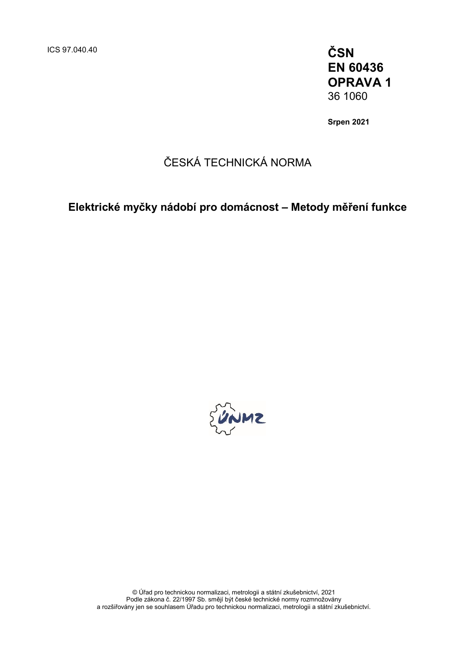ICS 97.040.40 **ČSN EN 60436 OPRAVA 1** 36 1060

**Srpen 2021**

## ČESKÁ TECHNICKÁ NORMA

## **Elektrické myčky nádobí pro domácnost – Metody měření funkce**



© Úřad pro technickou normalizaci, metrologii a státní zkušebnictví, 2021 Podle zákona č. 22/1997 Sb. smějí být české technické normy rozmnožovány a rozšiřovány jen se souhlasem Úřadu pro technickou normalizaci, metrologii a státní zkušebnictví.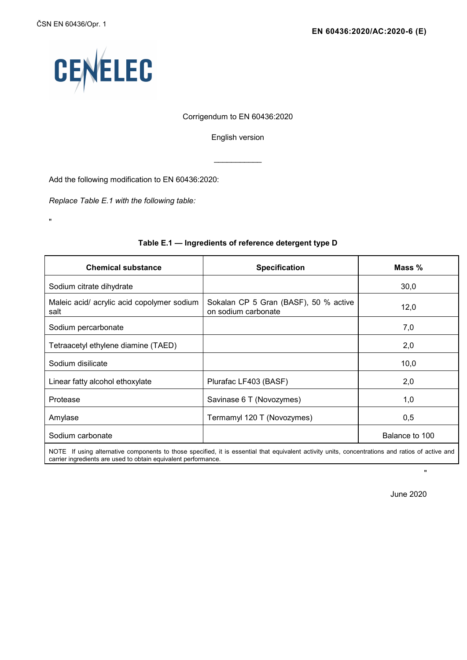"



#### Corrigendum to EN 60436:2020

English version

 $\overline{\phantom{a}}$ 

Add the following modification to EN 60436:2020:

*Replace Table E.1 with the following table:* 

| <b>Chemical substance</b>                                                                                                                                                                                          | <b>Specification</b>                                         | Mass $%$       |  |
|--------------------------------------------------------------------------------------------------------------------------------------------------------------------------------------------------------------------|--------------------------------------------------------------|----------------|--|
| Sodium citrate dihydrate                                                                                                                                                                                           |                                                              | 30,0           |  |
| Maleic acid/ acrylic acid copolymer sodium<br>salt                                                                                                                                                                 | Sokalan CP 5 Gran (BASF), 50 % active<br>on sodium carbonate | 12,0           |  |
| Sodium percarbonate                                                                                                                                                                                                |                                                              | 7,0            |  |
| Tetraacetyl ethylene diamine (TAED)                                                                                                                                                                                |                                                              | 2,0            |  |
| Sodium disilicate                                                                                                                                                                                                  |                                                              | 10,0           |  |
| Linear fatty alcohol ethoxylate                                                                                                                                                                                    | Plurafac LF403 (BASF)                                        | 2,0            |  |
| Protease                                                                                                                                                                                                           | Savinase 6 T (Novozymes)                                     | 1,0            |  |
| Amylase                                                                                                                                                                                                            | Termamyl 120 T (Novozymes)                                   | 0,5            |  |
| Sodium carbonate                                                                                                                                                                                                   |                                                              | Balance to 100 |  |
| NOTE If using alternative components to those specified, it is essential that equivalent activity units, concentrations and ratios of active and<br>carrier ingredients are used to obtain equivalent performance. |                                                              |                |  |

#### **Table E.1 — Ingredients of reference detergent type D**

June 2020

.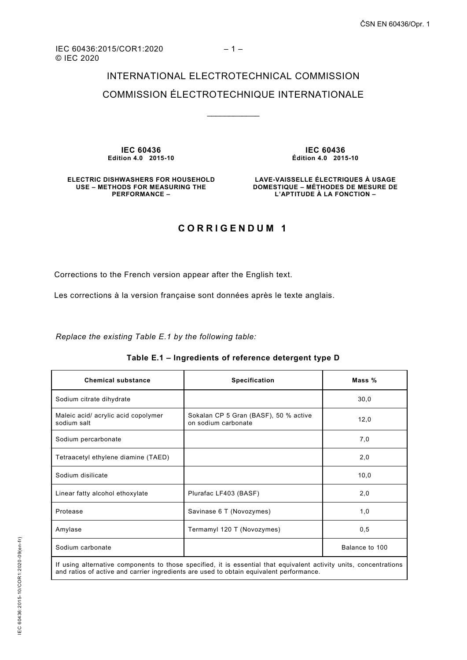# INTERNATIONAL ELECTROTECHNICAL COMMISSION

### COMMISSION ÉLECTROTECHNIQUE INTERNATIONALE

\_\_\_\_\_\_\_\_\_\_\_\_

**IEC 60436 Edition 4.0 2015-10**

**IEC 60436 Édition 4.0 2015-10**

**ELECTRIC DISHWASHERS FOR HOUSEHOLD USE – METHODS FOR MEASURING THE PERFORMANCE –** 

**LAVE-VAISSELLE ÉLECTRIQUES À USAGE DOMESTIQUE – MÉTHODES DE MESURE DE L'APTITUDE À LA FONCTION –** 

### **CORRIGENDUM 1**

Corrections to the French version appear after the English text.

Les corrections à la version française sont données après le texte anglais.

*Replace the existing Table E.1 by the following table:*

| <b>Chemical substance</b>                                                                                                                                                                                     | <b>Specification</b>                                         | Mass %         |
|---------------------------------------------------------------------------------------------------------------------------------------------------------------------------------------------------------------|--------------------------------------------------------------|----------------|
| Sodium citrate dihydrate                                                                                                                                                                                      |                                                              | 30,0           |
| Maleic acid/ acrylic acid copolymer<br>sodium salt                                                                                                                                                            | Sokalan CP 5 Gran (BASF), 50 % active<br>on sodium carbonate | 12,0           |
| Sodium percarbonate                                                                                                                                                                                           |                                                              | 7,0            |
| Tetraacetyl ethylene diamine (TAED)                                                                                                                                                                           |                                                              | 2,0            |
| Sodium disilicate                                                                                                                                                                                             |                                                              | 10,0           |
| Linear fatty alcohol ethoxylate                                                                                                                                                                               | Plurafac LF403 (BASF)                                        | 2,0            |
| Protease                                                                                                                                                                                                      | Savinase 6 T (Novozymes)                                     | 1,0            |
| Amylase                                                                                                                                                                                                       | Termamyl 120 T (Novozymes)                                   | 0,5            |
| Sodium carbonate                                                                                                                                                                                              |                                                              | Balance to 100 |
| If using alternative components to those specified, it is essential that equivalent activity units, concentrations<br>and ratios of active and carrier ingredients are used to obtain equivalent performance. |                                                              |                |